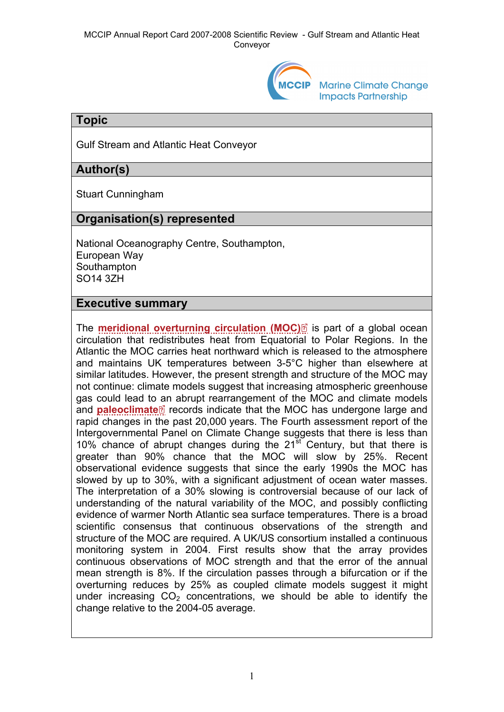

**Marine Climate Change Impacts Partnership** 

### **Topic**

Gulf Stream and Atlantic Heat Conveyor

# **Author(s)**

Stuart Cunningham

## **Organisation(s) represented**

National Oceanography Centre, Southampton, European Way **Southampton** SO14 3ZH

### **Executive summary**

The **[meridional overturning circulation \(MOC\)](http://www.mccip.org.uk/arc/2007/glossary.htm#MOC)** is part of a global ocean circulation that redistributes heat from Equatorial to Polar Regions. In the Atlantic the MOC carries heat northward which is released to the atmosphere and maintains UK temperatures between 3-5°C higher than elsewhere at similar latitudes. However, the present strength and structure of the MOC may not continue: climate models suggest that increasing atmospheric greenhouse gas could lead t[o an](http://www.mccip.org.uk/arc/2007/glossary.htm) abrupt rearrangement of the MOC and climate models and **[paleoclimate](http://www.mccip.org.uk/arc/2007/glossary.htm#Paleoclimate)** records indicate that the MOC has undergone large and rapid changes in the past 20,000 years. The Fourth assessment report of the Intergovernmental Panel on Climate Change suggests that there is less than 10% chance of abrupt changes during the  $21<sup>st</sup>$  Century, but that there is greater than 90% chance that the MOC will slow by 25%. Recent observational evidence suggests that since the early 1990s the MOC has slowed by up to 30%, with a significant adjustment of ocean water masses. The interpretation of a 30% slowing is controversial because of our lack of understanding of the natural variability of the MOC, and possibly conflicting evidence of warmer North Atlantic sea surface temperatures. There is a broad scientific consensus that continuous observations of the strength and structure of the MOC are required. A UK/US consortium installed a continuous monitoring system in 2004. First results show that the array provides continuous observations of MOC strength and that the error of the annual mean strength is 8%. If the circulation passes through a bifurcation or if the overturning reduces by 25% as coupled climate models suggest it might under increasing  $CO<sub>2</sub>$  concentrations, we should be able to identify the change relative to the 2004-05 average.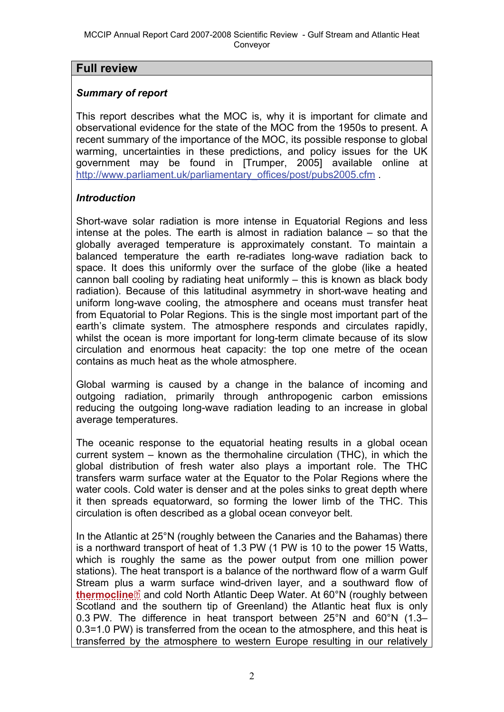### **Full review**

### *Summary of report*

This report describes what the MOC is, why it is important for climate and observational evidence for the state of the MOC from the 1950s to present. A recent summary of the importance of the MOC, its possible response to global warming, uncertainties in these predictions, and policy issues for the UK government may be found in [Trumper, 2005] available online at [http://www.parliament.uk/parliamentary\\_offices/post/pubs2005.cfm](http://www.parliament.uk/parliamentary_offices/post/pubs2005.cfm) .

### *Introduction*

Short-wave solar radiation is more intense in Equatorial Regions and less intense at the poles. The earth is almost in radiation balance – so that the globally averaged temperature is approximately constant. To maintain a balanced temperature the earth re-radiates long-wave radiation back to space. It does this uniformly over the surface of the globe (like a heated cannon ball cooling by radiating heat uniformly – this is known as black body radiation). Because of this latitudinal asymmetry in short-wave heating and uniform long-wave cooling, the atmosphere and oceans must transfer heat from Equatorial to Polar Regions. This is the single most important part of the earth's climate system. The atmosphere responds and circulates rapidly, whilst the ocean is more important for long-term climate because of its slow circulation and enormous heat capacity: the top one metre of the ocean contains as much heat as the whole atmosphere.

Global warming is caused by a change in the balance of incoming and outgoing radiation, primarily through anthropogenic carbon emissions reducing the outgoing long-wave radiation leading to an increase in global average temperatures.

The oceanic response to the equatorial heating results in a global ocean current system – known as the thermohaline circulation (THC), in which the global distribution of fresh water also plays a important role. The THC transfers warm surface water at the Equator to the Polar Regions where the water cools. Cold water is denser and at the poles sinks to great depth where it then spreads equatorward, so forming the lower limb of the THC. This circulation is often described as a global ocean conveyor belt.

In the Atlantic at 25°N (roughly between the Canaries and the Bahamas) there is a northward transport of heat of 1.3 PW (1 PW is 10 to the power 15 Watts, which is roughly the same as the power output from one million power stations). The heat transport is a balance of the northward flow of a warm Gulf Stream plu[s a](http://www.mccip.org.uk/arc/2007/glossary.htm) warm surface wind-driven layer, and a southward flow of **[thermocline](http://www.mccip.org.uk/arc/2007/glossary.htm#Thermocline)**<sup>®</sup> and cold North Atlantic Deep Water. At 60<sup>°</sup>N (roughly between Scotland and the southern tip of Greenland) the Atlantic heat flux is only 0.3 PW. The difference in heat transport between 25°N and 60°N (1.3– 0.3=1.0 PW) is transferred from the ocean to the atmosphere, and this heat is transferred by the atmosphere to western Europe resulting in our relatively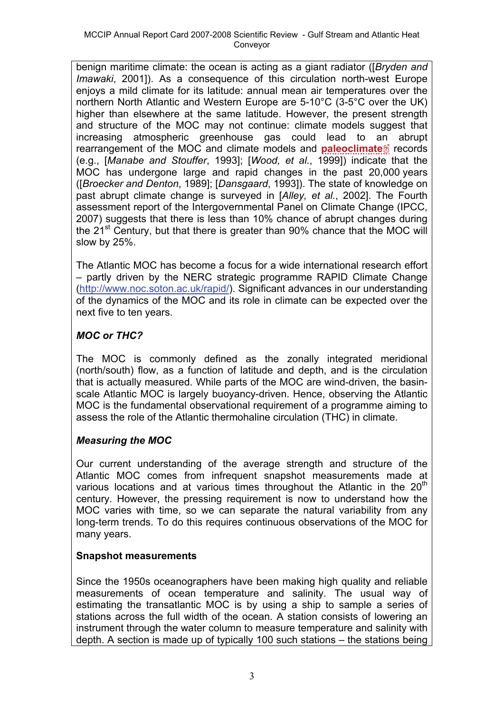benign maritime climate: the ocean is acting as a giant radiator ([*Bryden and Imawaki*, 2001]). As a consequence of this circulation north-west Europe enjoys a mild climate for its latitude: annual mean air temperatures over the northern North Atlantic and Western Europe are 5-10°C (3-5°C over the UK) higher than elsewhere at the same latitude. However, the present strength and structure of the MOC may not continue: climate models suggest that increasing atmospheric greenhouse gas could lead to [an](http://www.mccip.org.uk/arc/2007/glossary.htm) abrupt rearrangement of the MOC and climate models and **[paleoclimate](http://www.mccip.org.uk/arc/2007/glossary.htm#Paleoclimate)** records (e.g., [*Manabe and Stouffer*, 1993]; [*Wood, et al.*, 1999]) indicate that the MOC has undergone large and rapid changes in the past 20,000 years ([*Broecker and Denton*, 1989]; [*Dansgaard*, 1993]). The state of knowledge on past abrupt climate change is surveyed in [*Alley, et al.*, 2002]. The Fourth assessment report of the Intergovernmental Panel on Climate Change (IPCC, 2007) suggests that there is less than 10% chance of abrupt changes during the  $21<sup>st</sup>$  Century, but that there is greater than 90% chance that the MOC will slow by 25%.

The Atlantic MOC has become a focus for a wide international research effort – partly driven by the NERC strategic programme RAPID Climate Change ([http://www.noc.soton.ac.uk/rapid/\)](http://www.noc.soton.ac.uk/rapid/). Significant advances in our understanding of the dynamics of the MOC and its role in climate can be expected over the next five to ten years.

# *MOC or THC?*

The MOC is commonly defined as the zonally integrated meridional (north/south) flow, as a function of latitude and depth, and is the circulation that is actually measured. While parts of the MOC are wind-driven, the basinscale Atlantic MOC is largely buoyancy-driven. Hence, observing the Atlantic MOC is the fundamental observational requirement of a programme aiming to assess the role of the Atlantic thermohaline circulation (THC) in climate.

## *Measuring the MOC*

Our current understanding of the average strength and structure of the Atlantic MOC comes from infrequent snapshot measurements made at various locations and at various times throughout the Atlantic in the  $20<sup>th</sup>$ century. However, the pressing requirement is now to understand how the MOC varies with time, so we can separate the natural variability from any long-term trends. To do this requires continuous observations of the MOC for many years.

#### **Snapshot measurements**

Since the 1950s oceanographers have been making high quality and reliable measurements of ocean temperature and salinity. The usual way of estimating the transatlantic MOC is by using a ship to sample a series of stations across the full width of the ocean. A station consists of lowering an instrument through the water column to measure temperature and salinity with depth. A section is made up of typically 100 such stations – the stations being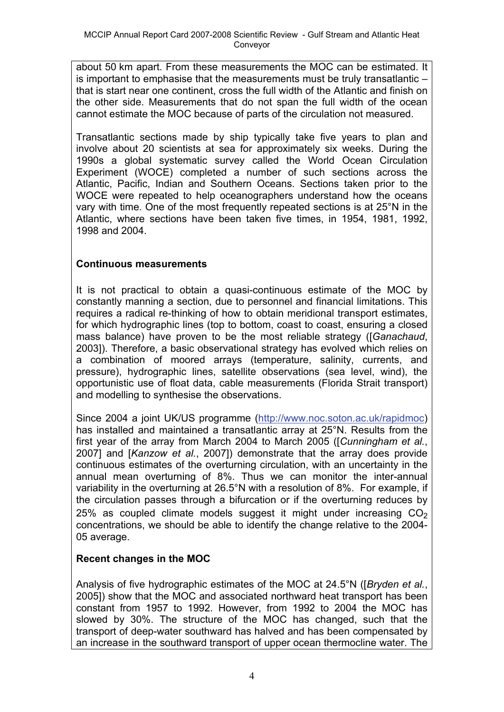about 50 km apart. From these measurements the MOC can be estimated. It is important to emphasise that the measurements must be truly transatlantic – that is start near one continent, cross the full width of the Atlantic and finish on the other side. Measurements that do not span the full width of the ocean cannot estimate the MOC because of parts of the circulation not measured.

Transatlantic sections made by ship typically take five years to plan and involve about 20 scientists at sea for approximately six weeks. During the 1990s a global systematic survey called the World Ocean Circulation Experiment (WOCE) completed a number of such sections across the Atlantic, Pacific, Indian and Southern Oceans. Sections taken prior to the WOCE were repeated to help oceanographers understand how the oceans vary with time. One of the most frequently repeated sections is at 25°N in the Atlantic, where sections have been taken five times, in 1954, 1981, 1992, 1998 and 2004.

#### **Continuous measurements**

It is not practical to obtain a quasi-continuous estimate of the MOC by constantly manning a section, due to personnel and financial limitations. This requires a radical re-thinking of how to obtain meridional transport estimates, for which hydrographic lines (top to bottom, coast to coast, ensuring a closed mass balance) have proven to be the most reliable strategy ([*Ganachaud*, 2003]). Therefore, a basic observational strategy has evolved which relies on a combination of moored arrays (temperature, salinity, currents, and pressure), hydrographic lines, satellite observations (sea level, wind), the opportunistic use of float data, cable measurements (Florida Strait transport) and modelling to synthesise the observations.

Since 2004 a joint UK/US programme [\(http://www.noc.soton.ac.uk/rapidmoc](http://www.noc.soton.ac.uk/rapidmoc)) has installed and maintained a transatlantic array at 25°N. Results from the first year of the array from March 2004 to March 2005 ([*Cunningham et al.*, 2007] and [*Kanzow et al.*, 2007]) demonstrate that the array does provide continuous estimates of the overturning circulation, with an uncertainty in the annual mean overturning of 8%. Thus we can monitor the inter-annual variability in the overturning at 26.5°N with a resolution of 8%. For example, if the circulation passes through a bifurcation or if the overturning reduces by 25% as coupled climate models suggest it might under increasing  $CO<sub>2</sub>$ concentrations, we should be able to identify the change relative to the 2004- 05 average.

#### **Recent changes in the MOC**

Analysis of five hydrographic estimates of the MOC at 24.5°N ([*Bryden et al.*, 2005]) show that the MOC and associated northward heat transport has been constant from 1957 to 1992. However, from 1992 to 2004 the MOC has slowed by 30%. The structure of the MOC has changed, such that the transport of deep-water southward has halved and has been compensated by an increase in the southward transport of upper ocean thermocline water. The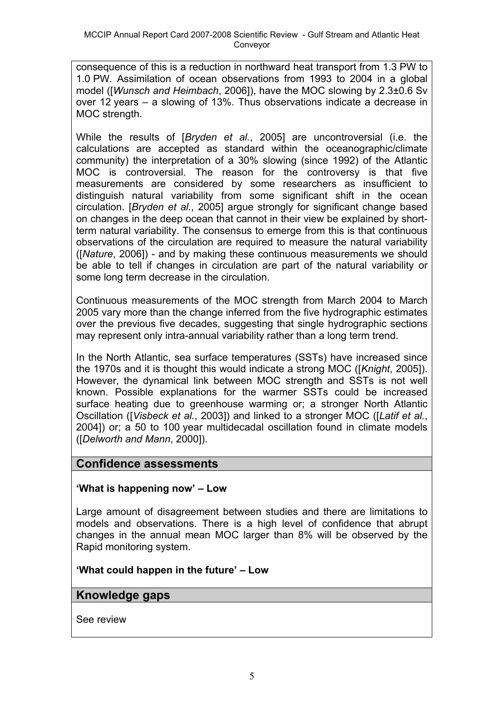consequence of this is a reduction in northward heat transport from 1.3 PW to 1.0 PW. Assimilation of ocean observations from 1993 to 2004 in a global model ([*Wunsch and Heimbach*, 2006]), have the MOC slowing by 2.3±0.6 Sv over 12 years – a slowing of 13%. Thus observations indicate a decrease in MOC strength.

While the results of [*Bryden et al.*, 2005] are uncontroversial (i.e. the calculations are accepted as standard within the oceanographic/climate community) the interpretation of a 30% slowing (since 1992) of the Atlantic MOC is controversial. The reason for the controversy is that five measurements are considered by some researchers as insufficient to distinguish natural variability from some significant shift in the ocean circulation. [*Bryden et al.*, 2005] argue strongly for significant change based on changes in the deep ocean that cannot in their view be explained by shortterm natural variability. The consensus to emerge from this is that continuous observations of the circulation are required to measure the natural variability ([*Nature*, 2006]) - and by making these continuous measurements we should be able to tell if changes in circulation are part of the natural variability or some long term decrease in the circulation.

Continuous measurements of the MOC strength from March 2004 to March 2005 vary more than the change inferred from the five hydrographic estimates over the previous five decades, suggesting that single hydrographic sections may represent only intra-annual variability rather than a long term trend.

In the North Atlantic, sea surface temperatures (SSTs) have increased since the 1970s and it is thought this would indicate a strong MOC ([*Knight*, 2005]). However, the dynamical link between MOC strength and SSTs is not well known. Possible explanations for the warmer SSTs could be increased surface heating due to greenhouse warming or; a stronger North Atlantic Oscillation ([*Visbeck et al.*, 2003]) and linked to a stronger MOC ([*Latif et al.*, 2004]) or; a 50 to 100 year multidecadal oscillation found in climate models ([*Delworth and Mann*, 2000]).

## **Confidence assessments**

#### **'What is happening now' – Low**

Large amount of disagreement between studies and there are limitations to models and observations. There is a high level of confidence that abrupt changes in the annual mean MOC larger than 8% will be observed by the Rapid monitoring system.

#### **'What could happen in the future' – Low**

## **Knowledge gaps**

See review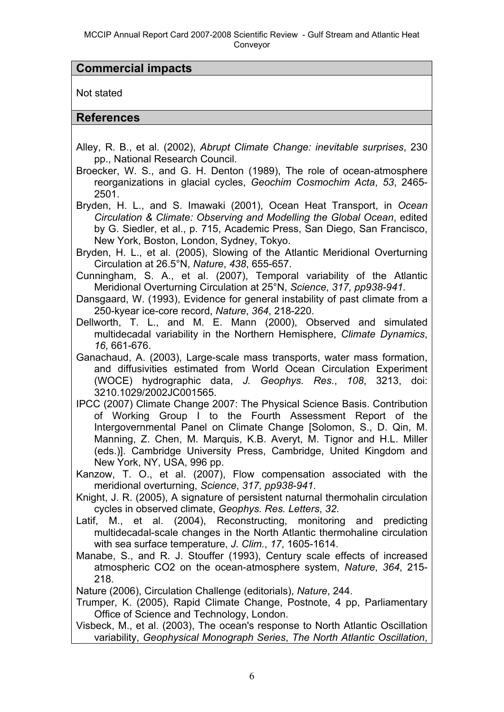#### **Commercial impacts**

Not stated

**References** 

Alley, R. B., et al. (2002), *Abrupt Climate Change: inevitable surprises*, 230 pp., National Research Council.

Broecker, W. S., and G. H. Denton (1989), The role of ocean-atmosphere reorganizations in glacial cycles, *Geochim Cosmochim Acta*, *53*, 2465- 2501.

Bryden, H. L., and S. Imawaki (2001), Ocean Heat Transport, in *Ocean Circulation & Climate: Observing and Modelling the Global Ocean*, edited by G. Siedler, et al., p. 715, Academic Press, San Diego, San Francisco, New York, Boston, London, Sydney, Tokyo.

Bryden, H. L., et al. (2005), Slowing of the Atlantic Meridional Overturning Circulation at 26.5°N, *Nature*, *438*, 655-657.

Cunningham, S. A., et al. (2007), Temporal variability of the Atlantic Meridional Overturning Circulation at 25°N, *Science*, *317, pp938-941.*

Dansgaard, W. (1993), Evidence for general instability of past climate from a 250-kyear ice-core record, *Nature*, *364*, 218-220.

Dellworth, T. L., and M. E. Mann (2000), Observed and simulated multidecadal variability in the Northern Hemisphere, *Climate Dynamics*, *16*, 661-676.

Ganachaud, A. (2003), Large-scale mass transports, water mass formation, and diffusivities estimated from World Ocean Circulation Experiment (WOCE) hydrographic data, *J. Geophys. Res.*, *108*, 3213, doi: 3210.1029/2002JC001565.

IPCC (2007) Climate Change 2007: The Physical Science Basis. Contribution of Working Group I to the Fourth Assessment Report of the Intergovernmental Panel on Climate Change [Solomon, S., D. Qin, M. Manning, Z. Chen, M. Marquis, K.B. Averyt, M. Tignor and H.L. Miller (eds.)]. Cambridge University Press, Cambridge, United Kingdom and New York, NY, USA, 996 pp.

Kanzow, T. O., et al. (2007), Flow compensation associated with the meridional overturning, *Science*, *317, pp938-941*.

Knight, J. R. (2005), A signature of persistent naturnal thermohalin circulation cycles in observed climate, *Geophys. Res. Letters*, *32*.

Latif, M., et al. (2004), Reconstructing, monitoring and predicting multidecadal-scale changes in the North Atlantic thermohaline circulation with sea surface temperature, *J. Clim.*, *17*, 1605-1614.

Manabe, S., and R. J. Stouffer (1993), Century scale effects of increased atmospheric CO2 on the ocean-atmosphere system, *Nature*, *364*, 215- 218.

Nature (2006), Circulation Challenge (editorials), *Nature*, 244.

Trumper, K. (2005), Rapid Climate Change, Postnote, 4 pp, Parliamentary Office of Science and Technology, London.

Visbeck, M., et al. (2003), The ocean's response to North Atlantic Oscillation variability, *Geophysical Monograph Series*, *The North Atlantic Oscillation*,